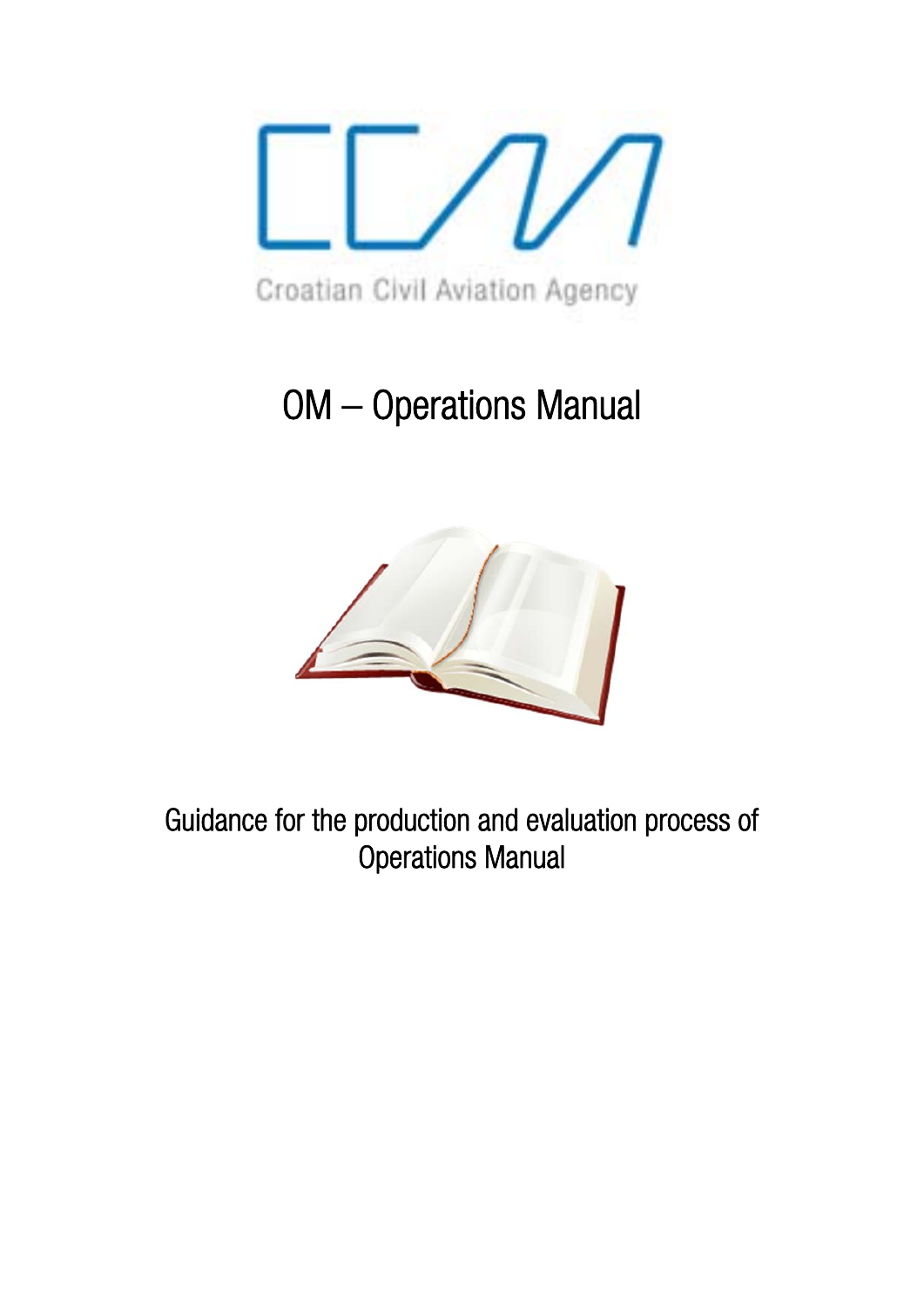

# OM – Operations Manual



Guidance for the production and evaluation process of Operations Manual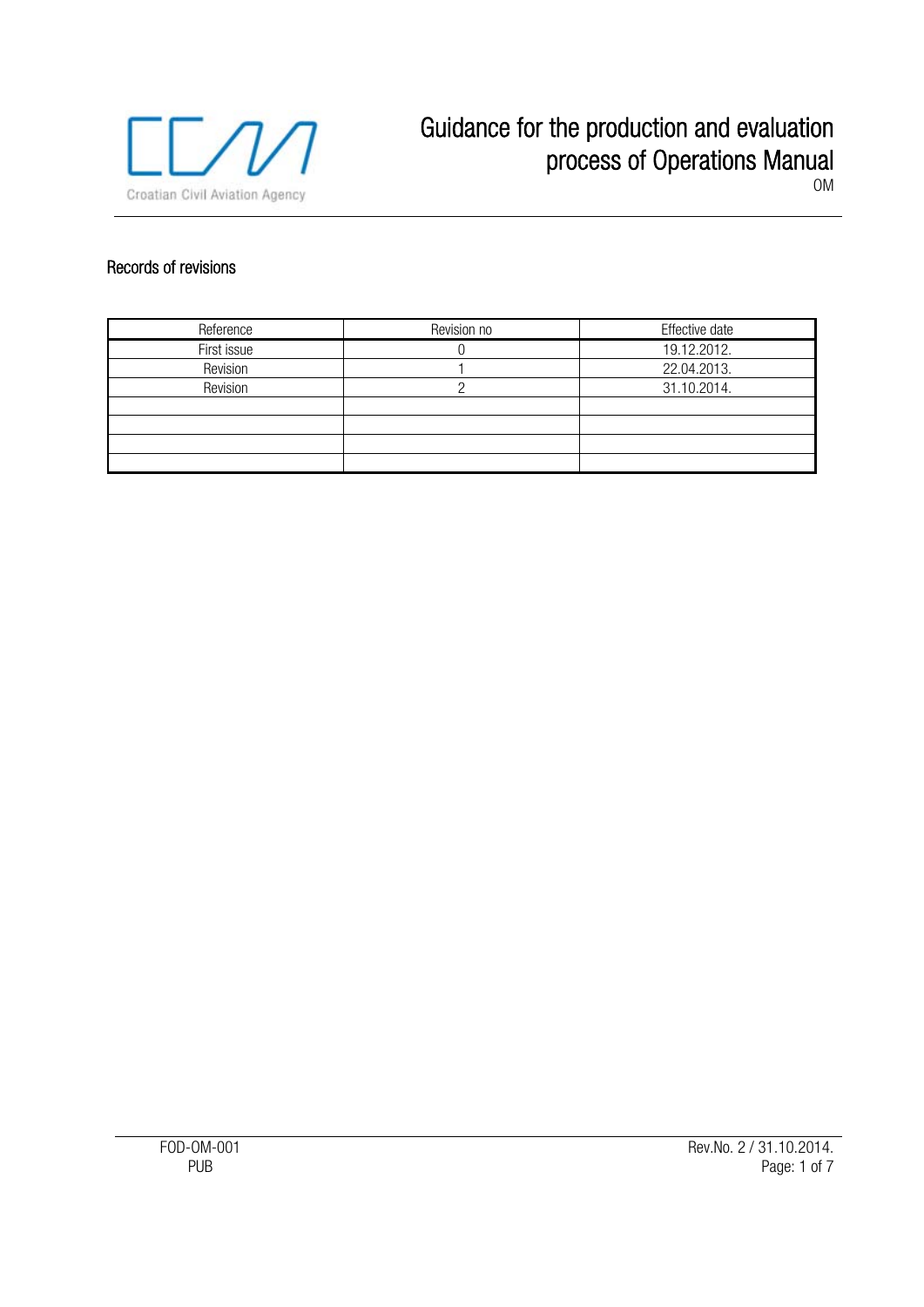

### Records of revisions

| Reference   | Revision no | Effective date |  |
|-------------|-------------|----------------|--|
| First issue |             | 19.12.2012.    |  |
| Revision    |             | 22.04.2013.    |  |
| Revision    |             | 31.10.2014.    |  |
|             |             |                |  |
|             |             |                |  |
|             |             |                |  |
|             |             |                |  |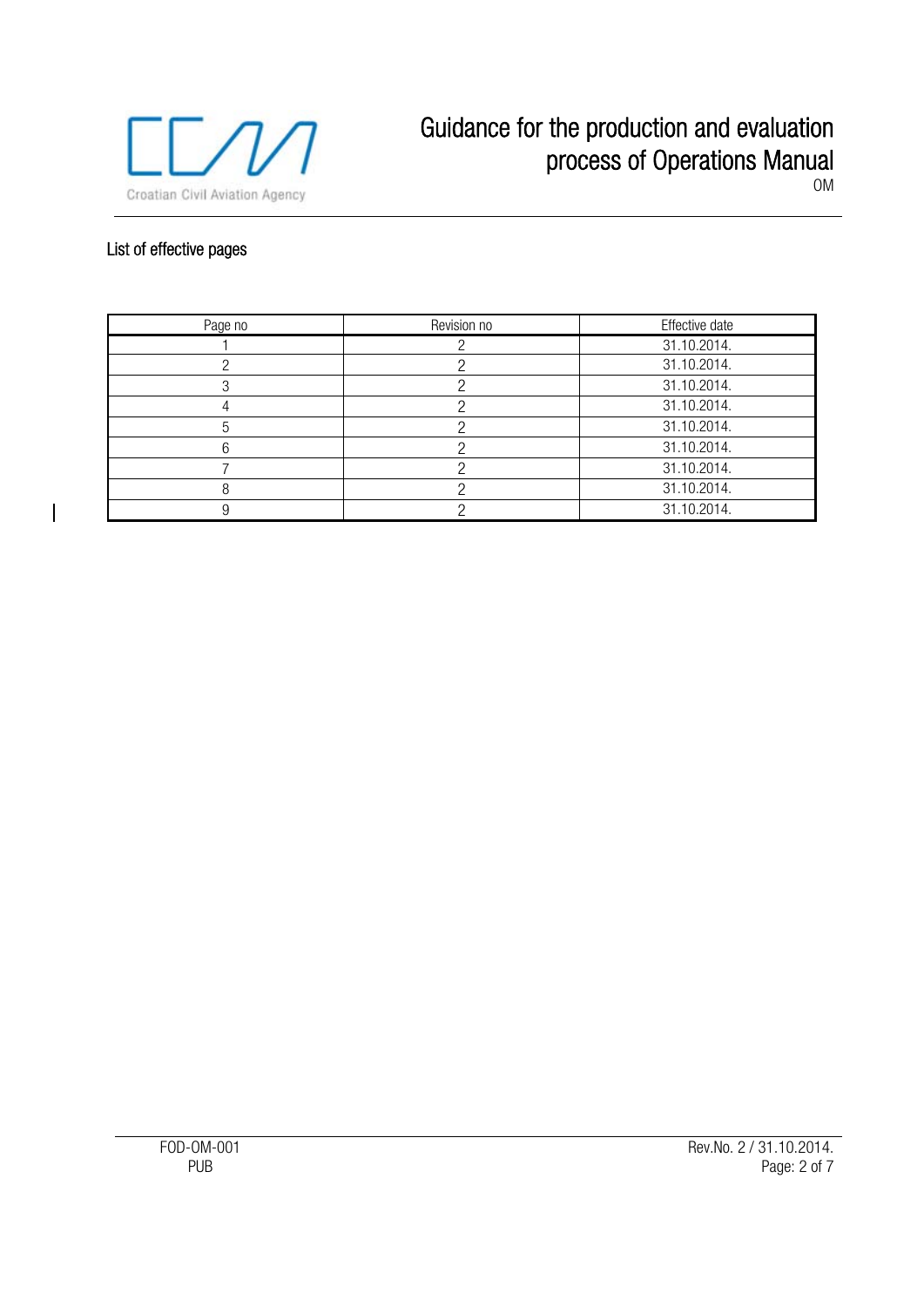

# List of effective pages

 $\overline{\phantom{a}}$ 

| Page no | Revision no | Effective date |
|---------|-------------|----------------|
|         |             | 31.10.2014.    |
|         |             | 31.10.2014.    |
|         |             | 31.10.2014.    |
|         |             | 31.10.2014.    |
| h       |             | 31.10.2014.    |
|         |             | 31.10.2014.    |
|         |             | 31.10.2014.    |
| 8       |             | 31.10.2014.    |
|         |             | 31.10.2014.    |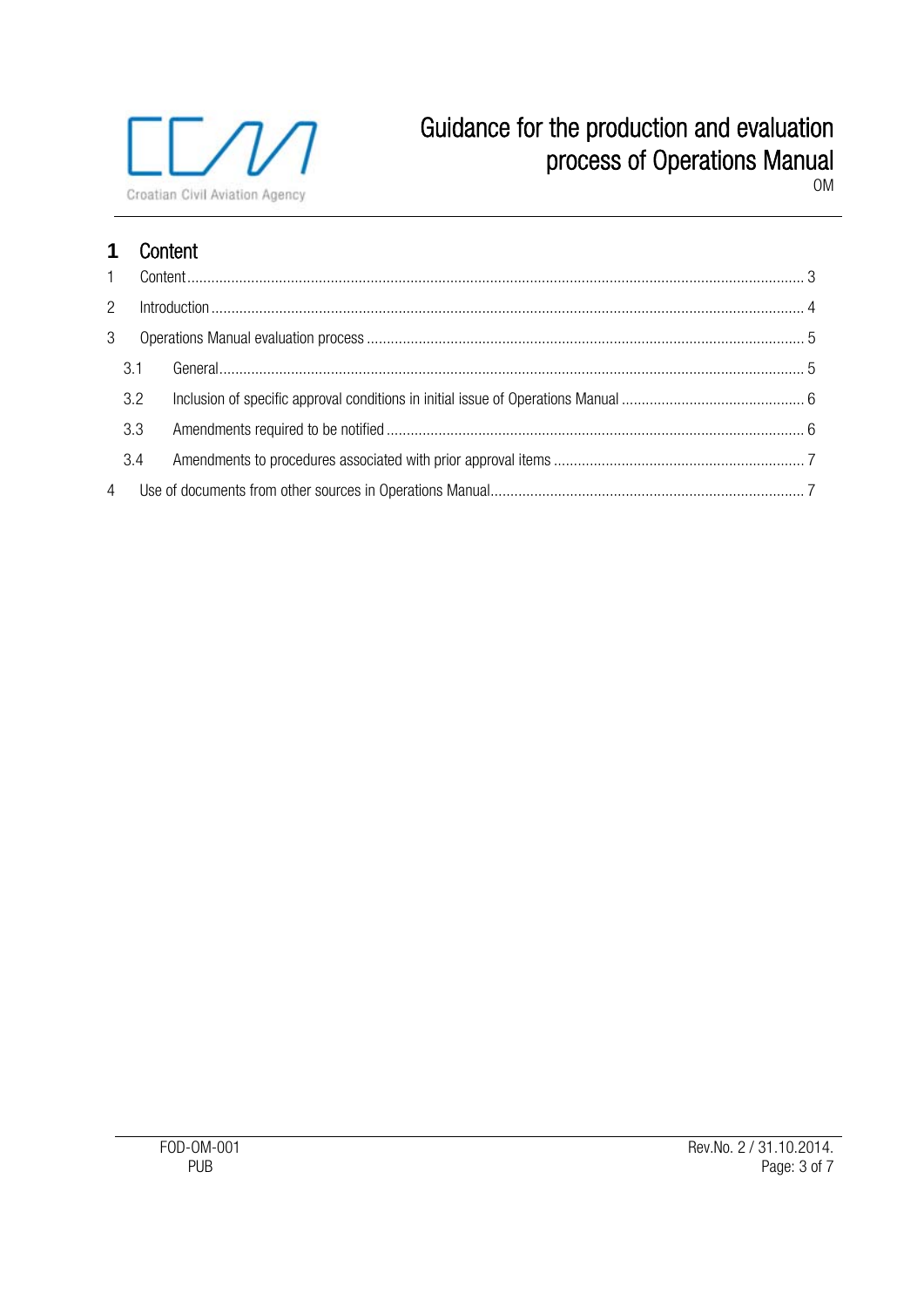

# Guidance for the production and evaluation process of Operations Manual

OM

# **1** Content

| $\overline{2}$ |     |  |  |
|----------------|-----|--|--|
| 3              |     |  |  |
|                | 3.1 |  |  |
|                | 3.2 |  |  |
|                | 3.3 |  |  |
|                | 3.4 |  |  |
|                |     |  |  |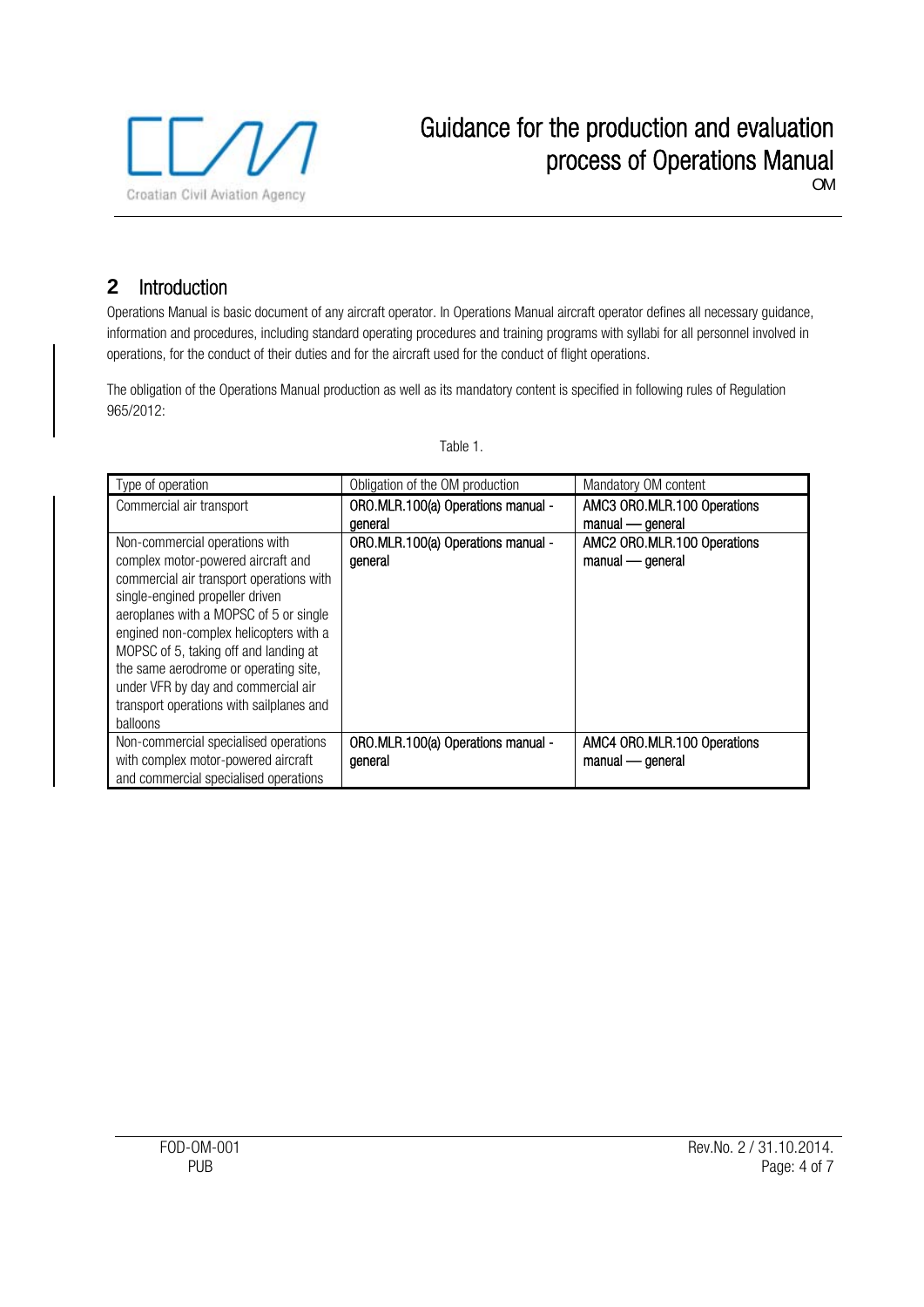

# **2** Introduction

Operations Manual is basic document of any aircraft operator. In Operations Manual aircraft operator defines all necessary guidance, information and procedures, including standard operating procedures and training programs with syllabi for all personnel involved in operations, for the conduct of their duties and for the aircraft used for the conduct of flight operations.

The obligation of the Operations Manual production as well as its mandatory content is specified in following rules of Regulation 965/2012:

| Type of operation                        | Obligation of the OM production    | Mandatory OM content        |
|------------------------------------------|------------------------------------|-----------------------------|
| Commercial air transport                 | ORO.MLR.100(a) Operations manual - | AMC3 ORO.MLR.100 Operations |
|                                          | deneral                            | manual - general            |
| Non-commercial operations with           | ORO.MLR.100(a) Operations manual - | AMC2 ORO.MLR.100 Operations |
| complex motor-powered aircraft and       | general                            | manual - general            |
| commercial air transport operations with |                                    |                             |
| single-engined propeller driven          |                                    |                             |
| aeroplanes with a MOPSC of 5 or single   |                                    |                             |
| engined non-complex helicopters with a   |                                    |                             |
| MOPSC of 5, taking off and landing at    |                                    |                             |
| the same aerodrome or operating site,    |                                    |                             |
| under VFR by day and commercial air      |                                    |                             |
| transport operations with sailplanes and |                                    |                             |
| balloons                                 |                                    |                             |
| Non-commercial specialised operations    | ORO.MLR.100(a) Operations manual - | AMC4 ORO.MLR.100 Operations |
| with complex motor-powered aircraft      | general                            | manual - general            |
| and commercial specialised operations    |                                    |                             |

Table 1.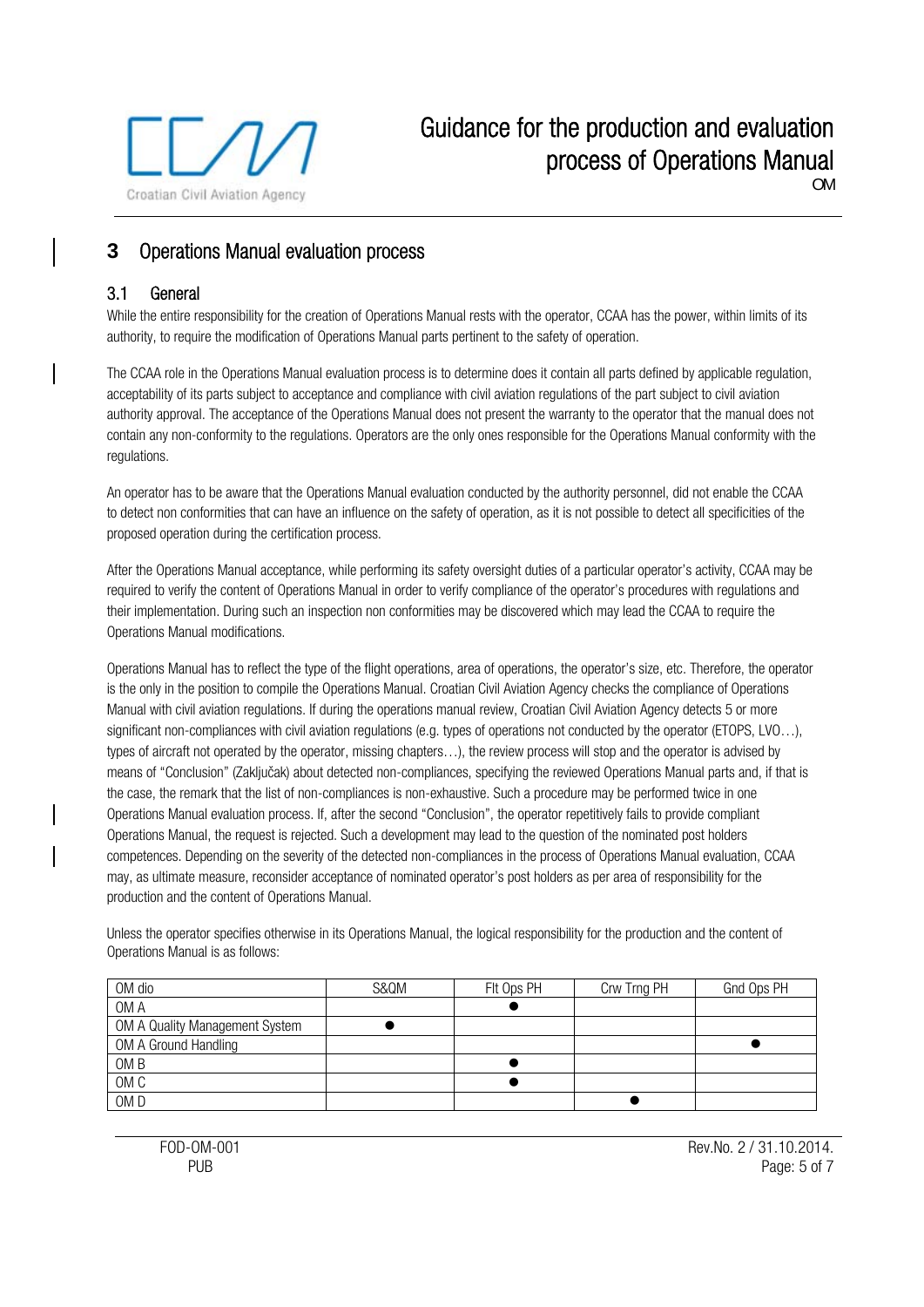

OM

# **3** Operations Manual evaluation process

#### 3.1 General

While the entire responsibility for the creation of Operations Manual rests with the operator, CCAA has the power, within limits of its authority, to require the modification of Operations Manual parts pertinent to the safety of operation.

The CCAA role in the Operations Manual evaluation process is to determine does it contain all parts defined by applicable regulation, acceptability of its parts subject to acceptance and compliance with civil aviation regulations of the part subject to civil aviation authority approval. The acceptance of the Operations Manual does not present the warranty to the operator that the manual does not contain any non-conformity to the regulations. Operators are the only ones responsible for the Operations Manual conformity with the regulations.

An operator has to be aware that the Operations Manual evaluation conducted by the authority personnel, did not enable the CCAA to detect non conformities that can have an influence on the safety of operation, as it is not possible to detect all specificities of the proposed operation during the certification process.

After the Operations Manual acceptance, while performing its safety oversight duties of a particular operator's activity, CCAA may be required to verify the content of Operations Manual in order to verify compliance of the operator's procedures with regulations and their implementation. During such an inspection non conformities may be discovered which may lead the CCAA to require the Operations Manual modifications.

Operations Manual has to reflect the type of the flight operations, area of operations, the operator's size, etc. Therefore, the operator is the only in the position to compile the Operations Manual. Croatian Civil Aviation Agency checks the compliance of Operations Manual with civil aviation regulations. If during the operations manual review, Croatian Civil Aviation Agency detects 5 or more significant non-compliances with civil aviation regulations (e.g. types of operations not conducted by the operator (ETOPS, LVO...), types of aircraft not operated by the operator, missing chapters…), the review process will stop and the operator is advised by means of "Conclusion" (Zaključak) about detected non-compliances, specifying the reviewed Operations Manual parts and, if that is the case, the remark that the list of non-compliances is non-exhaustive. Such a procedure may be performed twice in one Operations Manual evaluation process. If, after the second "Conclusion", the operator repetitively fails to provide compliant Operations Manual, the request is rejected. Such a development may lead to the question of the nominated post holders competences. Depending on the severity of the detected non-compliances in the process of Operations Manual evaluation, CCAA may, as ultimate measure, reconsider acceptance of nominated operator's post holders as per area of responsibility for the production and the content of Operations Manual.

Unless the operator specifies otherwise in its Operations Manual, the logical responsibility for the production and the content of Operations Manual is as follows:

| OM dio                         | S&QM | FIt Ops PH | Crw Trng PH | Gnd Ops PH |
|--------------------------------|------|------------|-------------|------------|
| OM A                           |      |            |             |            |
| OM A Quality Management System |      |            |             |            |
| OM A Ground Handling           |      |            |             |            |
| OM <sub>B</sub>                |      |            |             |            |
| OM <sub>C</sub>                |      |            |             |            |
| OM <sub>D</sub>                |      |            |             |            |

FOD-OM-001 Rev.No. 2 / 31.10.2014. PUB PORT CONTROL PROPERTY IN THE PAGE OF THE PAGE OF THE PAGE OF THE PAGE OF THE PAGE OF THE PAGE OF THE PAGE OF THE PAGE OF THE PAGE OF THE PAGE OF THE PAGE OF THE PAGE OF THE PAGE OF THE PAGE OF THE PAGE OF THE PAGE OF T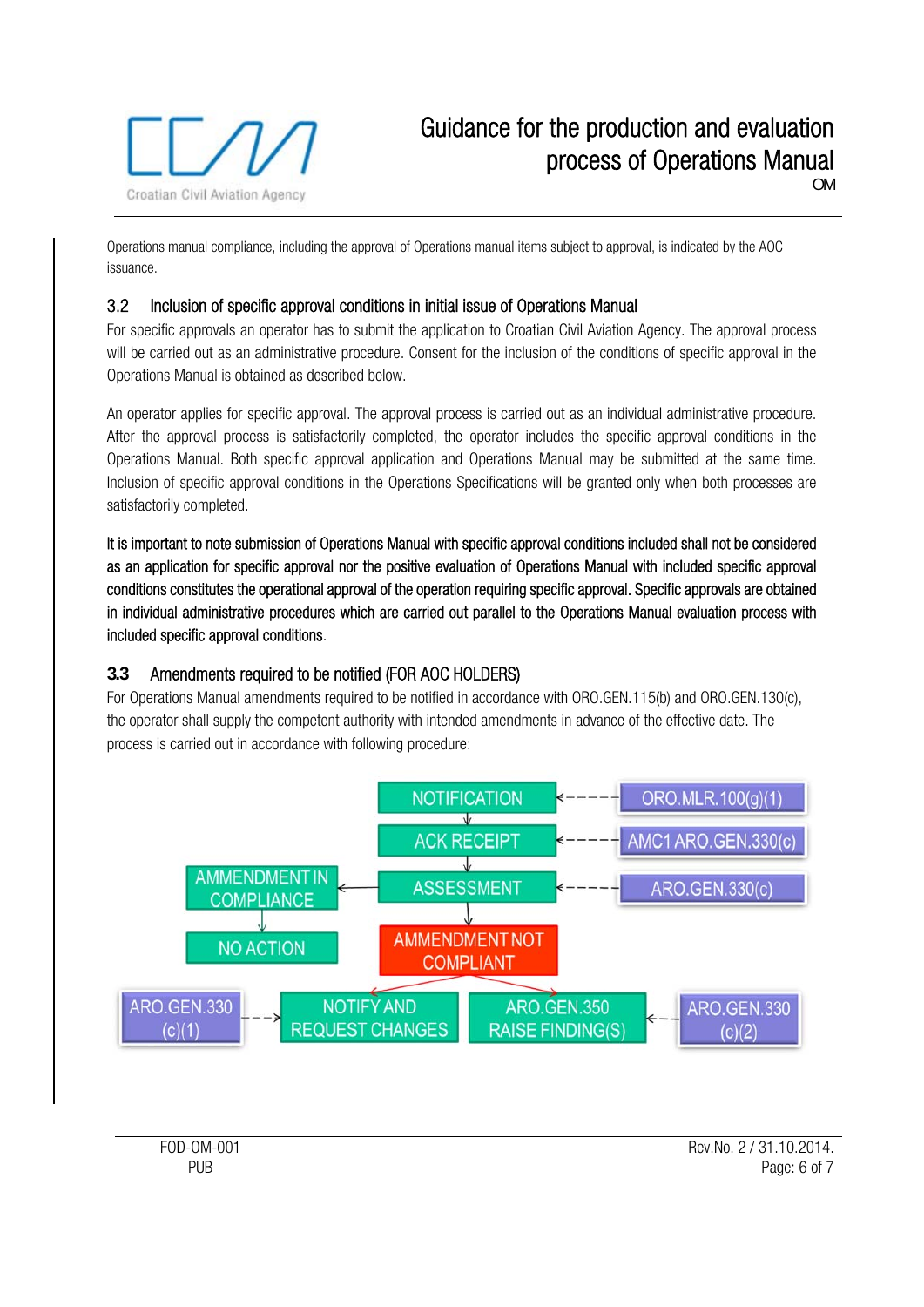

OM

Operations manual compliance, including the approval of Operations manual items subject to approval, is indicated by the AOC issuance.

#### 3.2 Inclusion of specific approval conditions in initial issue of Operations Manual

For specific approvals an operator has to submit the application to Croatian Civil Aviation Agency. The approval process will be carried out as an administrative procedure. Consent for the inclusion of the conditions of specific approval in the Operations Manual is obtained as described below.

An operator applies for specific approval. The approval process is carried out as an individual administrative procedure. After the approval process is satisfactorily completed, the operator includes the specific approval conditions in the Operations Manual. Both specific approval application and Operations Manual may be submitted at the same time. Inclusion of specific approval conditions in the Operations Specifications will be granted only when both processes are satisfactorily completed.

It is important to note submission of Operations Manual with specific approval conditions included shall not be considered as an application for specific approval nor the positive evaluation of Operations Manual with included specific approval conditions constitutes the operational approval of the operation requiring specific approval. Specific approvals are obtained in individual administrative procedures which are carried out parallel to the Operations Manual evaluation process with included specific approval conditions.

## **3.3** Amendments required to be notified (FOR AOC HOLDERS)

For Operations Manual amendments required to be notified in accordance with ORO.GEN.115(b) and ORO.GEN.130(c), the operator shall supply the competent authority with intended amendments in advance of the effective date. The process is carried out in accordance with following procedure:



FOD-OM-001 Rev.No. 2 / 31.10.2014. PUB Page: 6 of 7